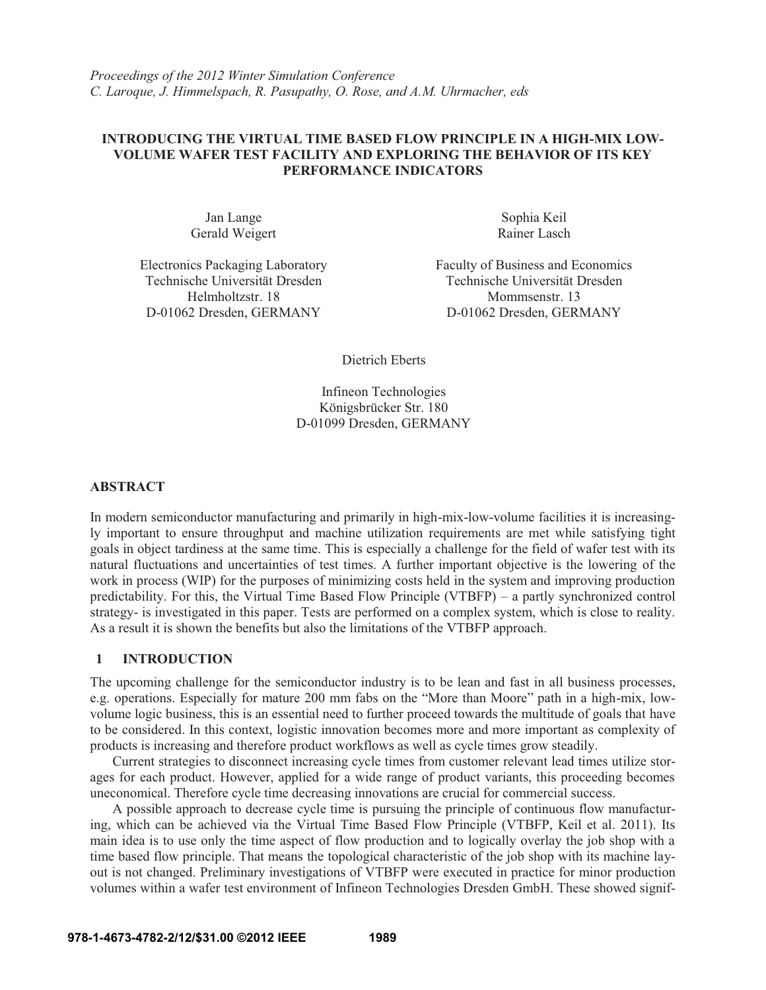*Proceedings of the 2012 Winter Simulation Conference C. Laroque, J. Himmelspach, R. Pasupathy, O. Rose, and A.M. Uhrmacher, eds* 

## **INTRODUCING THE VIRTUAL TIME BASED FLOW PRINCIPLE IN A HIGH-MIX LOW-VOLUME WAFER TEST FACILITY AND EXPLORING THE BEHAVIOR OF ITS KEY PERFORMANCE INDICATORS**

Jan Lange Gerald Weigert

Electronics Packaging Laboratory

Sophia Keil Rainer Lasch

Faculty of Business and Economics Technische Universität Dresden Technische Universität Dresden Helmholtzstr. 18 Mommsenstr. 13 D-01062 Dresden, GERMANY D-01062 Dresden, GERMANY

Dietrich Eberts

Infineon Technologies Königsbrücker Str. 180 D-01099 Dresden, GERMANY

### **ABSTRACT**

In modern semiconductor manufacturing and primarily in high-mix-low-volume facilities it is increasingly important to ensure throughput and machine utilization requirements are met while satisfying tight goals in object tardiness at the same time. This is especially a challenge for the field of wafer test with its natural fluctuations and uncertainties of test times. A further important objective is the lowering of the work in process (WIP) for the purposes of minimizing costs held in the system and improving production predictability. For this, the Virtual Time Based Flow Principle (VTBFP) – a partly synchronized control strategy- is investigated in this paper. Tests are performed on a complex system, which is close to reality. As a result it is shown the benefits but also the limitations of the VTBFP approach.

## **1 INTRODUCTION**

The upcoming challenge for the semiconductor industry is to be lean and fast in all business processes, e.g. operations. Especially for mature 200 mm fabs on the "More than Moore" path in a high-mix, lowvolume logic business, this is an essential need to further proceed towards the multitude of goals that have to be considered. In this context, logistic innovation becomes more and more important as complexity of products is increasing and therefore product workflows as well as cycle times grow steadily.

Current strategies to disconnect increasing cycle times from customer relevant lead times utilize storages for each product. However, applied for a wide range of product variants, this proceeding becomes uneconomical. Therefore cycle time decreasing innovations are crucial for commercial success.

A possible approach to decrease cycle time is pursuing the principle of continuous flow manufacturing, which can be achieved via the Virtual Time Based Flow Principle (VTBFP, Keil et al. 2011). Its main idea is to use only the time aspect of flow production and to logically overlay the job shop with a time based flow principle. That means the topological characteristic of the job shop with its machine layout is not changed. Preliminary investigations of VTBFP were executed in practice for minor production volumes within a wafer test environment of Infineon Technologies Dresden GmbH. These showed signif-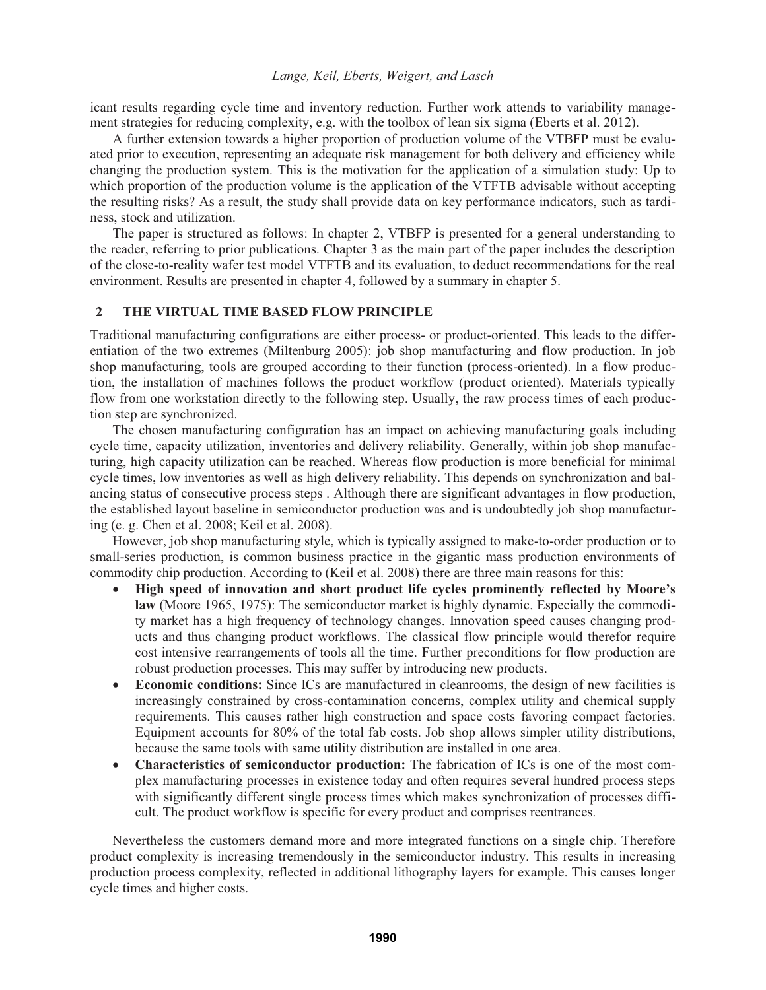icant results regarding cycle time and inventory reduction. Further work attends to variability management strategies for reducing complexity, e.g. with the toolbox of lean six sigma (Eberts et al. 2012).

A further extension towards a higher proportion of production volume of the VTBFP must be evaluated prior to execution, representing an adequate risk management for both delivery and efficiency while changing the production system. This is the motivation for the application of a simulation study: Up to which proportion of the production volume is the application of the VTFTB advisable without accepting the resulting risks? As a result, the study shall provide data on key performance indicators, such as tardiness, stock and utilization.

The paper is structured as follows: In chapter 2, VTBFP is presented for a general understanding to the reader, referring to prior publications. Chapter 3 as the main part of the paper includes the description of the close-to-reality wafer test model VTFTB and its evaluation, to deduct recommendations for the real environment. Results are presented in chapter 4, followed by a summary in chapter 5.

## **2 THE VIRTUAL TIME BASED FLOW PRINCIPLE**

Traditional manufacturing configurations are either process- or product-oriented. This leads to the differentiation of the two extremes (Miltenburg 2005): job shop manufacturing and flow production. In job shop manufacturing, tools are grouped according to their function (process-oriented). In a flow production, the installation of machines follows the product workflow (product oriented). Materials typically flow from one workstation directly to the following step. Usually, the raw process times of each production step are synchronized.

The chosen manufacturing configuration has an impact on achieving manufacturing goals including cycle time, capacity utilization, inventories and delivery reliability. Generally, within job shop manufacturing, high capacity utilization can be reached. Whereas flow production is more beneficial for minimal cycle times, low inventories as well as high delivery reliability. This depends on synchronization and balancing status of consecutive process steps . Although there are significant advantages in flow production, the established layout baseline in semiconductor production was and is undoubtedly job shop manufacturing (e. g. Chen et al. 2008; Keil et al. 2008).

However, job shop manufacturing style, which is typically assigned to make-to-order production or to small-series production, is common business practice in the gigantic mass production environments of commodity chip production. According to (Keil et al. 2008) there are three main reasons for this:

- - **High speed of innovation and short product life cycles prominently reflected by Moore's law** (Moore 1965, 1975): The semiconductor market is highly dynamic. Especially the commodity market has a high frequency of technology changes. Innovation speed causes changing products and thus changing product workflows. The classical flow principle would therefor require cost intensive rearrangements of tools all the time. Further preconditions for flow production are robust production processes. This may suffer by introducing new products.
- $\bullet$  **Economic conditions:** Since ICs are manufactured in cleanrooms, the design of new facilities is increasingly constrained by cross-contamination concerns, complex utility and chemical supply requirements. This causes rather high construction and space costs favoring compact factories. Equipment accounts for 80% of the total fab costs. Job shop allows simpler utility distributions, because the same tools with same utility distribution are installed in one area.
- **Characteristics of semiconductor production:** The fabrication of ICs is one of the most complex manufacturing processes in existence today and often requires several hundred process steps with significantly different single process times which makes synchronization of processes difficult. The product workflow is specific for every product and comprises reentrances.

Nevertheless the customers demand more and more integrated functions on a single chip. Therefore product complexity is increasing tremendously in the semiconductor industry. This results in increasing production process complexity, reflected in additional lithography layers for example. This causes longer cycle times and higher costs.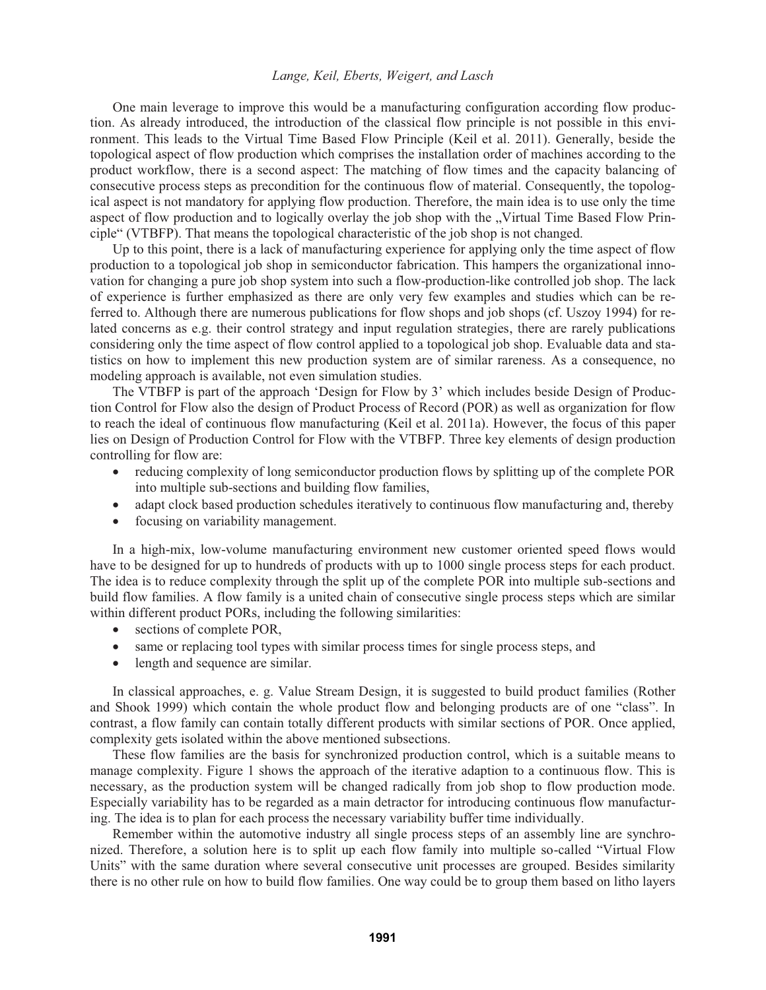One main leverage to improve this would be a manufacturing configuration according flow production. As already introduced, the introduction of the classical flow principle is not possible in this environment. This leads to the Virtual Time Based Flow Principle (Keil et al. 2011). Generally, beside the topological aspect of flow production which comprises the installation order of machines according to the product workflow, there is a second aspect: The matching of flow times and the capacity balancing of consecutive process steps as precondition for the continuous flow of material. Consequently, the topological aspect is not mandatory for applying flow production. Therefore, the main idea is to use only the time aspect of flow production and to logically overlay the job shop with the "Virtual Time Based Flow Principle" (VTBFP). That means the topological characteristic of the job shop is not changed.

Up to this point, there is a lack of manufacturing experience for applying only the time aspect of flow production to a topological job shop in semiconductor fabrication. This hampers the organizational innovation for changing a pure job shop system into such a flow-production-like controlled job shop. The lack of experience is further emphasized as there are only very few examples and studies which can be referred to. Although there are numerous publications for flow shops and job shops (cf. Uszoy 1994) for related concerns as e.g. their control strategy and input regulation strategies, there are rarely publications considering only the time aspect of flow control applied to a topological job shop. Evaluable data and statistics on how to implement this new production system are of similar rareness. As a consequence, no modeling approach is available, not even simulation studies.

The VTBFP is part of the approach 'Design for Flow by 3' which includes beside Design of Production Control for Flow also the design of Product Process of Record (POR) as well as organization for flow to reach the ideal of continuous flow manufacturing (Keil et al. 2011a). However, the focus of this paper lies on Design of Production Control for Flow with the VTBFP. Three key elements of design production controlling for flow are:

- $\bullet$  reducing complexity of long semiconductor production flows by splitting up of the complete POR into multiple sub-sections and building flow families,
- adapt clock based production schedules iteratively to continuous flow manufacturing and, thereby
- focusing on variability management.

In a high-mix, low-volume manufacturing environment new customer oriented speed flows would have to be designed for up to hundreds of products with up to 1000 single process steps for each product. The idea is to reduce complexity through the split up of the complete POR into multiple sub-sections and build flow families. A flow family is a united chain of consecutive single process steps which are similar within different product PORs, including the following similarities:

- $\bullet$ sections of complete POR,
- same or replacing tool types with similar process times for single process steps, and
- $\bullet$ length and sequence are similar.

In classical approaches, e. g. Value Stream Design, it is suggested to build product families (Rother and Shook 1999) which contain the whole product flow and belonging products are of one "class". In contrast, a flow family can contain totally different products with similar sections of POR. Once applied, complexity gets isolated within the above mentioned subsections.

These flow families are the basis for synchronized production control, which is a suitable means to manage complexity. Figure 1 shows the approach of the iterative adaption to a continuous flow. This is necessary, as the production system will be changed radically from job shop to flow production mode. Especially variability has to be regarded as a main detractor for introducing continuous flow manufacturing. The idea is to plan for each process the necessary variability buffer time individually.

Remember within the automotive industry all single process steps of an assembly line are synchronized. Therefore, a solution here is to split up each flow family into multiple so-called "Virtual Flow Units" with the same duration where several consecutive unit processes are grouped. Besides similarity there is no other rule on how to build flow families. One way could be to group them based on litho layers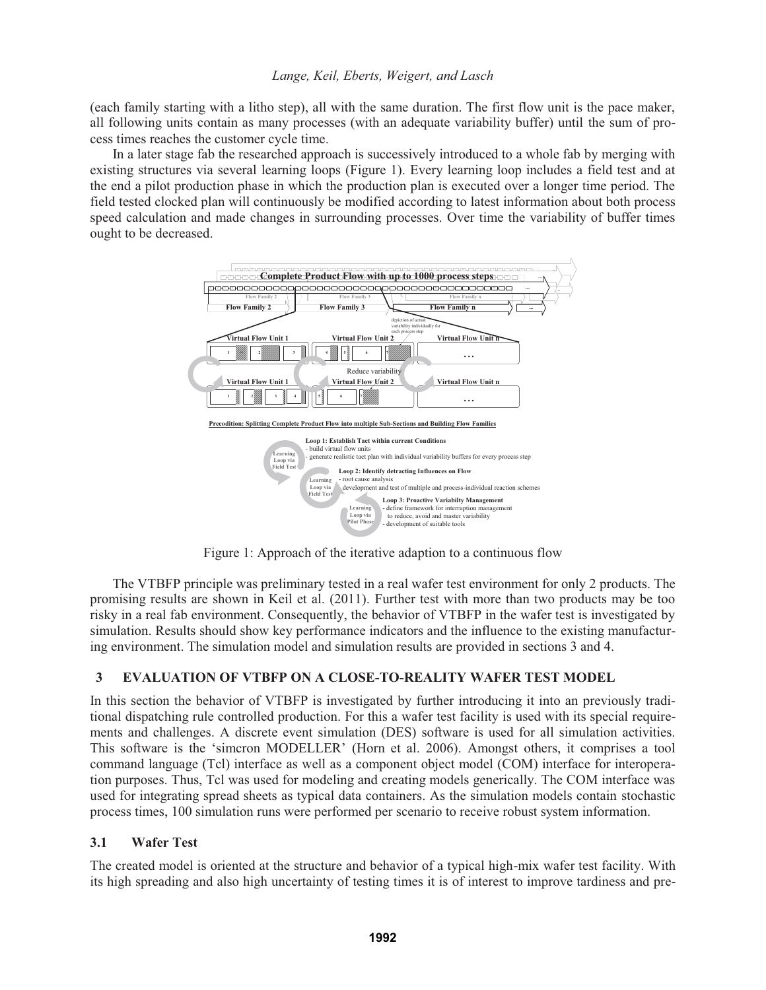(each family starting with a litho step), all with the same duration. The first flow unit is the pace maker, all following units contain as many processes (with an adequate variability buffer) until the sum of process times reaches the customer cycle time.

In a later stage fab the researched approach is successively introduced to a whole fab by merging with existing structures via several learning loops (Figure 1). Every learning loop includes a field test and at the end a pilot production phase in which the production plan is executed over a longer time period. The field tested clocked plan will continuously be modified according to latest information about both process speed calculation and made changes in surrounding processes. Over time the variability of buffer times ought to be decreased.



Figure 1: Approach of the iterative adaption to a continuous flow

The VTBFP principle was preliminary tested in a real wafer test environment for only 2 products. The promising results are shown in Keil et al. (2011). Further test with more than two products may be too risky in a real fab environment. Consequently, the behavior of VTBFP in the wafer test is investigated by simulation. Results should show key performance indicators and the influence to the existing manufacturing environment. The simulation model and simulation results are provided in sections 3 and 4.

# **3 EVALUATION OF VTBFP ON A CLOSE-TO-REALITY WAFER TEST MODEL**

In this section the behavior of VTBFP is investigated by further introducing it into an previously traditional dispatching rule controlled production. For this a wafer test facility is used with its special requirements and challenges. A discrete event simulation (DES) software is used for all simulation activities. This software is the 'simcron MODELLER' (Horn et al. 2006). Amongst others, it comprises a tool command language (Tcl) interface as well as a component object model (COM) interface for interoperation purposes. Thus, Tcl was used for modeling and creating models generically. The COM interface was used for integrating spread sheets as typical data containers. As the simulation models contain stochastic process times, 100 simulation runs were performed per scenario to receive robust system information.

## **3.1 Wafer Test**

The created model is oriented at the structure and behavior of a typical high-mix wafer test facility. With its high spreading and also high uncertainty of testing times it is of interest to improve tardiness and pre-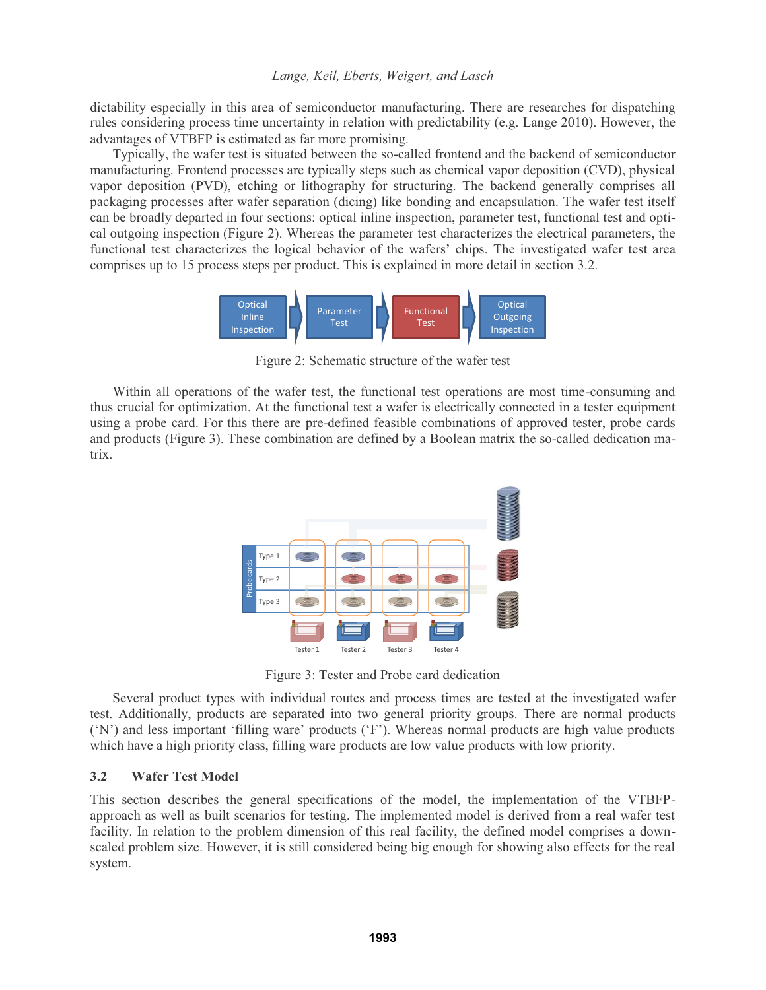dictability especially in this area of semiconductor manufacturing. There are researches for dispatching rules considering process time uncertainty in relation with predictability (e.g. Lange 2010). However, the advantages of VTBFP is estimated as far more promising.

Typically, the wafer test is situated between the so-called frontend and the backend of semiconductor manufacturing. Frontend processes are typically steps such as chemical vapor deposition (CVD), physical vapor deposition (PVD), etching or lithography for structuring. The backend generally comprises all packaging processes after wafer separation (dicing) like bonding and encapsulation. The wafer test itself can be broadly departed in four sections: optical inline inspection, parameter test, functional test and optical outgoing inspection (Figure 2). Whereas the parameter test characterizes the electrical parameters, the functional test characterizes the logical behavior of the wafers' chips. The investigated wafer test area comprises up to 15 process steps per product. This is explained in more detail in section 3.2.



Figure 2: Schematic structure of the wafer test

Within all operations of the wafer test, the functional test operations are most time-consuming and thus crucial for optimization. At the functional test a wafer is electrically connected in a tester equipment using a probe card. For this there are pre-defined feasible combinations of approved tester, probe cards and products (Figure 3). These combination are defined by a Boolean matrix the so-called dedication matrix.



Figure 3: Tester and Probe card dedication

Several product types with individual routes and process times are tested at the investigated wafer test. Additionally, products are separated into two general priority groups. There are normal products ('N') and less important 'filling ware' products ('F'). Whereas normal products are high value products which have a high priority class, filling ware products are low value products with low priority.

## **3.2 Wafer Test Model**

This section describes the general specifications of the model, the implementation of the VTBFPapproach as well as built scenarios for testing. The implemented model is derived from a real wafer test facility. In relation to the problem dimension of this real facility, the defined model comprises a downscaled problem size. However, it is still considered being big enough for showing also effects for the real system.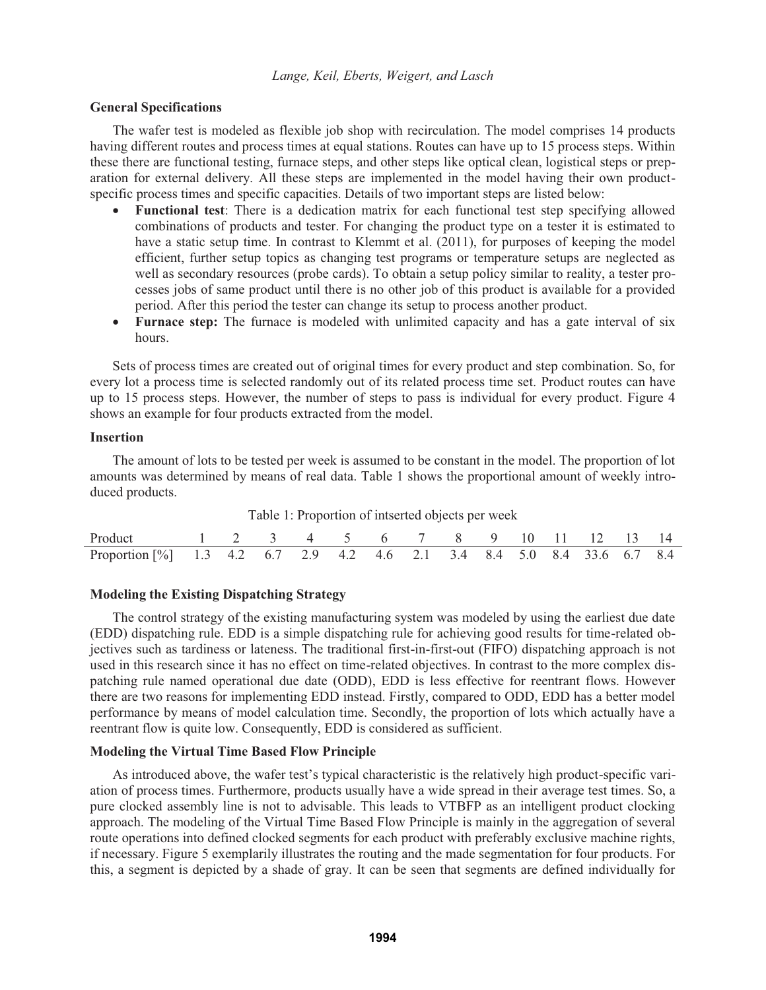## **General Specifications**

The wafer test is modeled as flexible job shop with recirculation. The model comprises 14 products having different routes and process times at equal stations. Routes can have up to 15 process steps. Within these there are functional testing, furnace steps, and other steps like optical clean, logistical steps or preparation for external delivery. All these steps are implemented in the model having their own productspecific process times and specific capacities. Details of two important steps are listed below:

- - **Functional test**: There is a dedication matrix for each functional test step specifying allowed combinations of products and tester. For changing the product type on a tester it is estimated to have a static setup time. In contrast to Klemmt et al. (2011), for purposes of keeping the model efficient, further setup topics as changing test programs or temperature setups are neglected as well as secondary resources (probe cards). To obtain a setup policy similar to reality, a tester processes jobs of same product until there is no other job of this product is available for a provided period. After this period the tester can change its setup to process another product.
- **Furnace step:** The furnace is modeled with unlimited capacity and has a gate interval of six hours.

Sets of process times are created out of original times for every product and step combination. So, for every lot a process time is selected randomly out of its related process time set. Product routes can have up to 15 process steps. However, the number of steps to pass is individual for every product. Figure 4 shows an example for four products extracted from the model.

## **Insertion**

The amount of lots to be tested per week is assumed to be constant in the model. The proportion of lot amounts was determined by means of real data. Table 1 shows the proportional amount of weekly introduced products.

| Product 1 2 3 4 5 6 7 8 9 10 11 12 13 14                                |  |  |  |  |  |  |  |
|-------------------------------------------------------------------------|--|--|--|--|--|--|--|
| Proportion [%] 1.3 4.2 6.7 2.9 4.2 4.6 2.1 3.4 8.4 5.0 8.4 33.6 6.7 8.4 |  |  |  |  |  |  |  |

Table 1: Proportion of intserted objects per week

## **Modeling the Existing Dispatching Strategy**

The control strategy of the existing manufacturing system was modeled by using the earliest due date (EDD) dispatching rule. EDD is a simple dispatching rule for achieving good results for time-related objectives such as tardiness or lateness. The traditional first-in-first-out (FIFO) dispatching approach is not used in this research since it has no effect on time-related objectives. In contrast to the more complex dispatching rule named operational due date (ODD), EDD is less effective for reentrant flows. However there are two reasons for implementing EDD instead. Firstly, compared to ODD, EDD has a better model performance by means of model calculation time. Secondly, the proportion of lots which actually have a reentrant flow is quite low. Consequently, EDD is considered as sufficient.

## **Modeling the Virtual Time Based Flow Principle**

As introduced above, the wafer test's typical characteristic is the relatively high product-specific variation of process times. Furthermore, products usually have a wide spread in their average test times. So, a pure clocked assembly line is not to advisable. This leads to VTBFP as an intelligent product clocking approach. The modeling of the Virtual Time Based Flow Principle is mainly in the aggregation of several route operations into defined clocked segments for each product with preferably exclusive machine rights, if necessary. Figure 5 exemplarily illustrates the routing and the made segmentation for four products. For this, a segment is depicted by a shade of gray. It can be seen that segments are defined individually for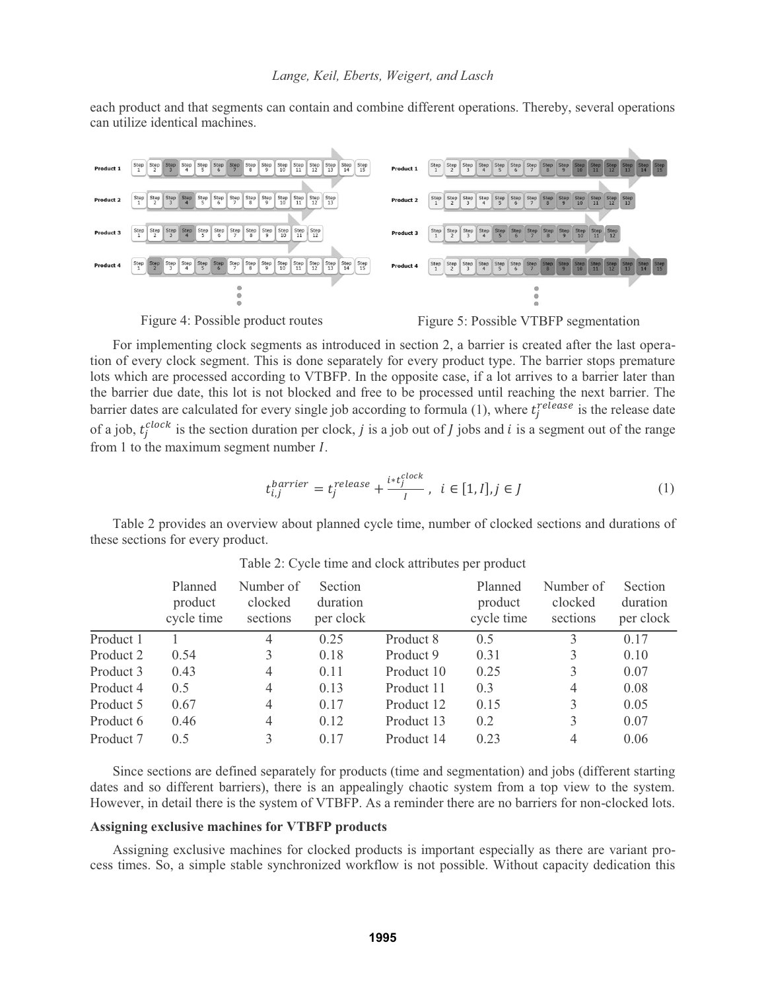each product and that segments can contain and combine different operations. Thereby, several operations can utilize identical machines.





For implementing clock segments as introduced in section 2, a barrier is created after the last operation of every clock segment. This is done separately for every product type. The barrier stops premature lots which are processed according to VTBFP. In the opposite case, if a lot arrives to a barrier later than the barrier due date, this lot is not blocked and free to be processed until reaching the next barrier. The barrier dates are calculated for every single job according to formula (1), where  $t_j^{release}$  is the release date of a job,  $t_j^{clock}$  is the section duration per clock, *j* is a job out of *J* jobs and *i* is a segment out of the range from 1 to the maximum segment number  $I$ .

$$
t_{i,j}^{barrier} = t_j^{release} + \frac{i * t_j^{clock}}{I}, \ i \in [1, I], j \in J
$$
 (1)

Table 2 provides an overview about planned cycle time, number of clocked sections and durations of these sections for every product.

|           | Planned<br>product<br>cycle time | Number of<br>clocked<br>sections | Section<br>duration<br>per clock |            | Planned<br>product<br>cycle time | Number of<br>clocked<br>sections | Section<br>duration<br>per clock |
|-----------|----------------------------------|----------------------------------|----------------------------------|------------|----------------------------------|----------------------------------|----------------------------------|
| Product 1 |                                  | 4                                | 0.25                             | Product 8  | 0.5                              | 3                                | 0.17                             |
| Product 2 | 0.54                             | 3                                | 0.18                             | Product 9  | 0.31                             | 3                                | 0.10                             |
| Product 3 | 0.43                             | 4                                | 0.11                             | Product 10 | 0.25                             | 3                                | 0.07                             |
| Product 4 | 0.5                              | $\overline{4}$                   | 0.13                             | Product 11 | 0.3                              | $\overline{4}$                   | 0.08                             |
| Product 5 | 0.67                             | $\overline{4}$                   | 0.17                             | Product 12 | 0.15                             | 3                                | 0.05                             |
| Product 6 | 0.46                             | $\overline{4}$                   | 0.12                             | Product 13 | 0.2                              | 3                                | 0.07                             |
| Product 7 | 0.5                              |                                  | 0.17                             | Product 14 | 0.23                             | $\overline{4}$                   | 0.06                             |

Table 2: Cycle time and clock attributes per product

Since sections are defined separately for products (time and segmentation) and jobs (different starting dates and so different barriers), there is an appealingly chaotic system from a top view to the system. However, in detail there is the system of VTBFP. As a reminder there are no barriers for non-clocked lots.

## **Assigning exclusive machines for VTBFP products**

Assigning exclusive machines for clocked products is important especially as there are variant process times. So, a simple stable synchronized workflow is not possible. Without capacity dedication this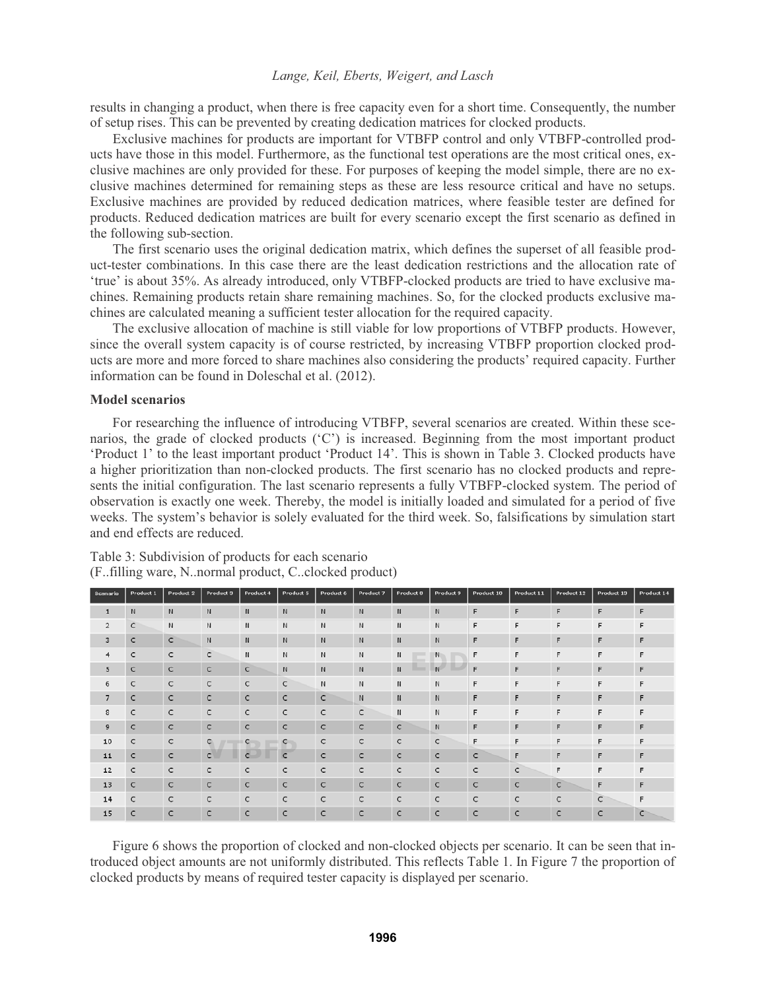results in changing a product, when there is free capacity even for a short time. Consequently, the number of setup rises. This can be prevented by creating dedication matrices for clocked products.

Exclusive machines for products are important for VTBFP control and only VTBFP-controlled products have those in this model. Furthermore, as the functional test operations are the most critical ones, exclusive machines are only provided for these. For purposes of keeping the model simple, there are no exclusive machines determined for remaining steps as these are less resource critical and have no setups. Exclusive machines are provided by reduced dedication matrices, where feasible tester are defined for products. Reduced dedication matrices are built for every scenario except the first scenario as defined in the following sub-section.

The first scenario uses the original dedication matrix, which defines the superset of all feasible product-tester combinations. In this case there are the least dedication restrictions and the allocation rate of 'true' is about 35%. As already introduced, only VTBFP-clocked products are tried to have exclusive machines. Remaining products retain share remaining machines. So, for the clocked products exclusive machines are calculated meaning a sufficient tester allocation for the required capacity.

The exclusive allocation of machine is still viable for low proportions of VTBFP products. However, since the overall system capacity is of course restricted, by increasing VTBFP proportion clocked products are more and more forced to share machines also considering the products' required capacity. Further information can be found in Doleschal et al. (2012).

### **Model scenarios**

For researching the influence of introducing VTBFP, several scenarios are created. Within these scenarios, the grade of clocked products ('C') is increased. Beginning from the most important product 'Product 1' to the least important product 'Product 14'. This is shown in Table 3. Clocked products have a higher prioritization than non-clocked products. The first scenario has no clocked products and represents the initial configuration. The last scenario represents a fully VTBFP-clocked system. The period of observation is exactly one week. Thereby, the model is initially loaded and simulated for a period of five weeks. The system's behavior is solely evaluated for the third week. So, falsifications by simulation start and end effects are reduced.

| Scenario       | <b>Product 1</b> | Product 2    | Product 3    | Product 4    | Product 5    | Product 6    | Product 7    | Product 8    | Product 9    | <b>Product 10</b> | <b>Product 11</b> | <b>Product 12</b> | <b>Product 13</b> | Product 14 |
|----------------|------------------|--------------|--------------|--------------|--------------|--------------|--------------|--------------|--------------|-------------------|-------------------|-------------------|-------------------|------------|
| $\mathbf{1}$   | $\mathsf{N}$     | $\mathbb N$  | $\mathsf{N}$ | $\mathsf{N}$ | N            | $\mathsf{N}$ | N            | N            | N            | F                 | F                 | F                 | F                 | F          |
| $\overline{2}$ | C                | N            | N            | N            | N            | N            | N            | N            | N            | F                 | F                 | F                 | F                 | F          |
| 3              | $\epsilon$       | $\mathsf{C}$ | N            | N            | N            | N            | N            | N            | N            | F                 | F                 | F                 | F                 | F          |
| $\overline{4}$ | $\mathsf{C}$     | $\mathsf{C}$ | $\mathsf{C}$ | N            | и            | N            | N            | N            | N            | F                 | F                 | F                 | F                 | F          |
| 5              | C                | $\mathsf{C}$ | $\mathsf{C}$ | $\mathsf{C}$ | N            | $\mathbf{N}$ | $\mathbf{N}$ | N            | N            | F                 | F                 | F                 | F                 | F          |
| 6              | $\mathsf{C}$     | $\mathsf{C}$ | $\mathsf{C}$ | $\mathsf{C}$ | $\mathsf{C}$ | N            | N            | N            | N            | F                 | F                 | F                 | F                 | F          |
| $\overline{7}$ | $\mathsf{C}$     | $\epsilon$   | $\epsilon$   | c            | $\mathsf{C}$ | c            | N            | N            | N            | F                 | F                 | F                 | F                 | F          |
| 8              | c                | $\mathsf{C}$ | $\subset$    | c            | c            | c            | c            | N            | $\mathsf{N}$ | F                 | F                 | F                 | F                 | F          |
| 9              | $\mathsf{C}$     | $\mathsf{C}$ | $\mathsf{C}$ | $\mathsf{C}$ | $\mathsf{C}$ | $\mathsf{C}$ | $\mathsf{C}$ | $\mathsf{C}$ | N            | F                 | F                 | F                 | F                 |            |
| 10             | $\mathsf{C}$     | $\mathsf{C}$ | $\mathbf C$  | c            | $\mathsf{C}$ | C            | $\mathsf{C}$ | $\mathsf{C}$ | $\mathsf{C}$ | F                 | F                 | F                 | F                 | F          |
| 11             | c                | c            | $\mathsf{C}$ | $\epsilon$   | $\epsilon$   | c            | $\mathsf{C}$ | $\epsilon$   | $\mathsf{C}$ | c                 | F                 | F                 | F                 | F          |
| 12             | c                | $\mathsf{C}$ | $\mathsf{C}$ | c            | c            | c            | $\mathsf{C}$ | $\mathsf{C}$ | $\epsilon$   | $\subset$         | $\epsilon$        | F                 | F                 | F          |
| 13             | $\mathsf{C}$     | $\mathsf{C}$ | $\mathsf{C}$ | $\mathsf{C}$ | $\mathsf{C}$ | $\mathsf{C}$ | $\mathsf{C}$ | $\mathsf{C}$ | $\mathsf{C}$ | $\mathsf{C}$      | $\mathsf{C}$      | $\mathsf{C}$      | F                 | F          |
| 14             | $\mathsf{C}$     | $\mathsf{C}$ | $\mathsf{C}$ | $\mathsf{C}$ | $\mathsf{C}$ | $\mathsf{C}$ | $\mathsf{C}$ | $\mathsf{C}$ | $\mathsf{C}$ | $\mathsf{C}$      | $\mathsf{C}$      | C                 | $\mathsf{C}$      | F          |
| 15             | c                | $\mathsf{C}$ | c            | c            | C            | c            | c            | c            | $\mathsf{C}$ | C                 | c                 | c                 | C                 |            |

Table 3: Subdivision of products for each scenario (F..filling ware, N..normal product, C..clocked product)

Figure 6 shows the proportion of clocked and non-clocked objects per scenario. It can be seen that introduced object amounts are not uniformly distributed. This reflects Table 1. In Figure 7 the proportion of clocked products by means of required tester capacity is displayed per scenario.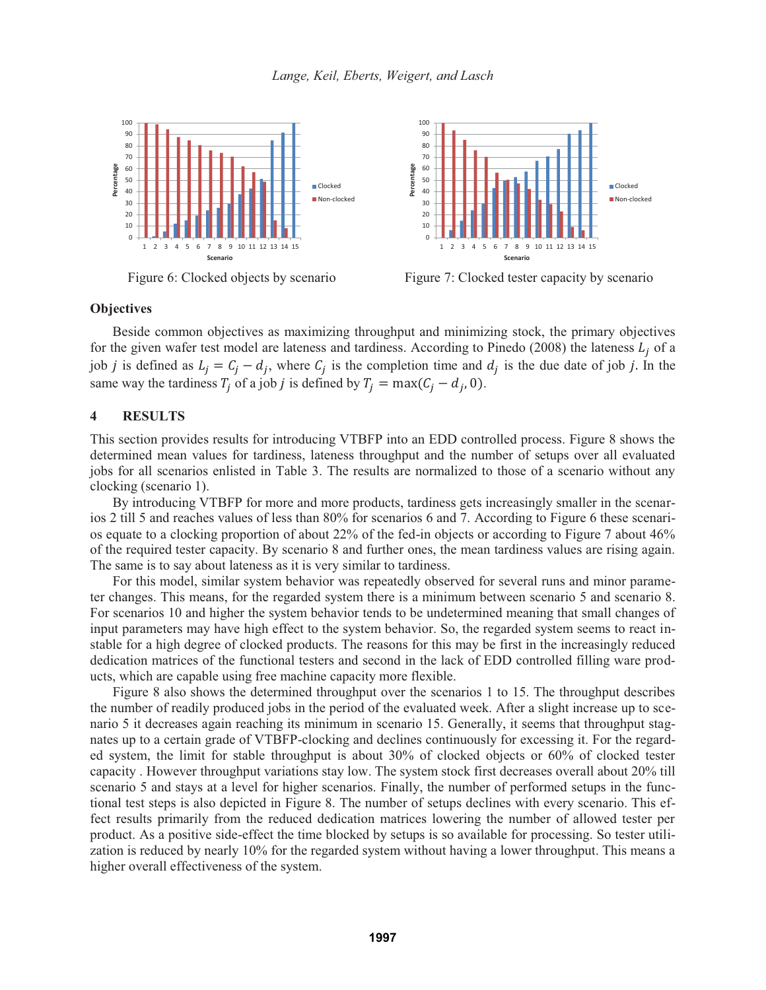



Figure 6: Clocked objects by scenario Figure 7: Clocked tester capacity by scenario

#### **Objectives**

Beside common objectives as maximizing throughput and minimizing stock, the primary objectives for the given wafer test model are lateness and tardiness. According to Pinedo (2008) the lateness  $L_i$  of a job *j* is defined as  $L_i = C_i - d_i$ , where  $C_i$  is the completion time and  $d_i$  is the due date of job *j*. In the same way the tardiness  $T_i$  of a job *j* is defined by  $T_i = \max(C_i - d_i, 0)$ .

### **4 RESULTS**

This section provides results for introducing VTBFP into an EDD controlled process. Figure 8 shows the determined mean values for tardiness, lateness throughput and the number of setups over all evaluated jobs for all scenarios enlisted in Table 3. The results are normalized to those of a scenario without any clocking (scenario 1).

By introducing VTBFP for more and more products, tardiness gets increasingly smaller in the scenarios 2 till 5 and reaches values of less than 80% for scenarios 6 and 7. According to Figure 6 these scenarios equate to a clocking proportion of about 22% of the fed-in objects or according to Figure 7 about 46% of the required tester capacity. By scenario 8 and further ones, the mean tardiness values are rising again. The same is to say about lateness as it is very similar to tardiness.

For this model, similar system behavior was repeatedly observed for several runs and minor parameter changes. This means, for the regarded system there is a minimum between scenario 5 and scenario 8. For scenarios 10 and higher the system behavior tends to be undetermined meaning that small changes of input parameters may have high effect to the system behavior. So, the regarded system seems to react instable for a high degree of clocked products. The reasons for this may be first in the increasingly reduced dedication matrices of the functional testers and second in the lack of EDD controlled filling ware products, which are capable using free machine capacity more flexible.

Figure 8 also shows the determined throughput over the scenarios 1 to 15. The throughput describes the number of readily produced jobs in the period of the evaluated week. After a slight increase up to scenario 5 it decreases again reaching its minimum in scenario 15. Generally, it seems that throughput stagnates up to a certain grade of VTBFP-clocking and declines continuously for excessing it. For the regarded system, the limit for stable throughput is about 30% of clocked objects or 60% of clocked tester capacity . However throughput variations stay low. The system stock first decreases overall about 20% till scenario 5 and stays at a level for higher scenarios. Finally, the number of performed setups in the functional test steps is also depicted in Figure 8. The number of setups declines with every scenario. This effect results primarily from the reduced dedication matrices lowering the number of allowed tester per product. As a positive side-effect the time blocked by setups is so available for processing. So tester utilization is reduced by nearly 10% for the regarded system without having a lower throughput. This means a higher overall effectiveness of the system.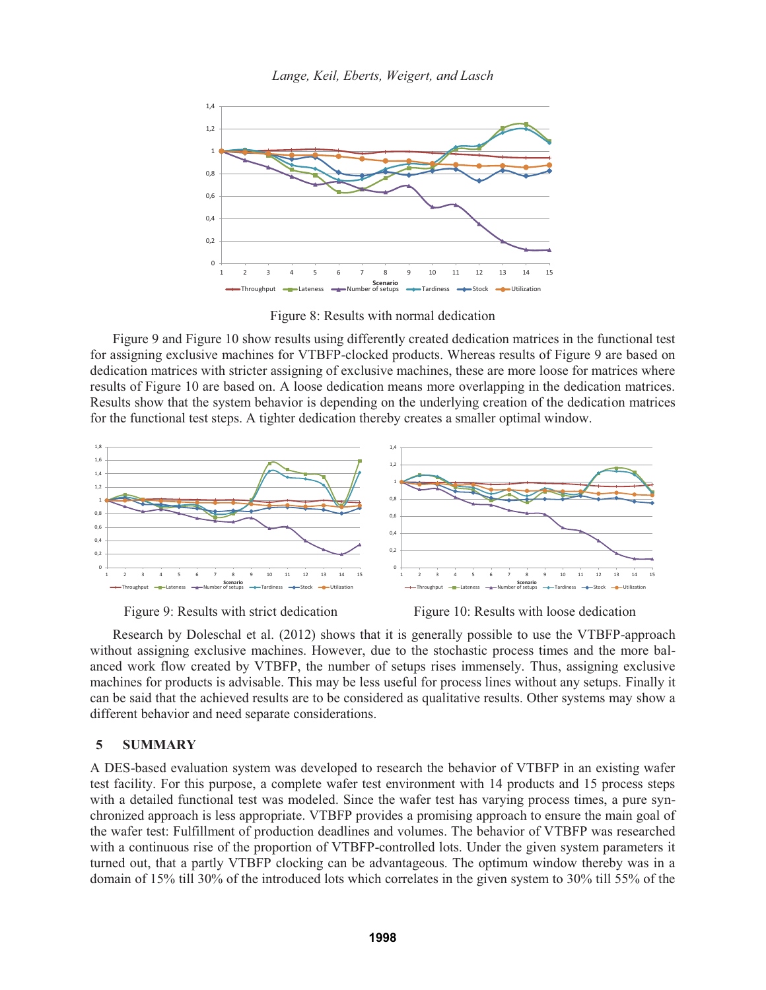

Figure 8: Results with normal dedication

Figure 9 and Figure 10 show results using differently created dedication matrices in the functional test for assigning exclusive machines for VTBFP-clocked products. Whereas results of Figure 9 are based on dedication matrices with stricter assigning of exclusive machines, these are more loose for matrices where results of Figure 10 are based on. A loose dedication means more overlapping in the dedication matrices. Results show that the system behavior is depending on the underlying creation of the dedication matrices for the functional test steps. A tighter dedication thereby creates a smaller optimal window.







Research by Doleschal et al. (2012) shows that it is generally possible to use the VTBFP-approach without assigning exclusive machines. However, due to the stochastic process times and the more balanced work flow created by VTBFP, the number of setups rises immensely. Thus, assigning exclusive machines for products is advisable. This may be less useful for process lines without any setups. Finally it can be said that the achieved results are to be considered as qualitative results. Other systems may show a different behavior and need separate considerations.

## **5 SUMMARY**

A DES-based evaluation system was developed to research the behavior of VTBFP in an existing wafer test facility. For this purpose, a complete wafer test environment with 14 products and 15 process steps with a detailed functional test was modeled. Since the wafer test has varying process times, a pure synchronized approach is less appropriate. VTBFP provides a promising approach to ensure the main goal of the wafer test: Fulfillment of production deadlines and volumes. The behavior of VTBFP was researched with a continuous rise of the proportion of VTBFP-controlled lots. Under the given system parameters it turned out, that a partly VTBFP clocking can be advantageous. The optimum window thereby was in a domain of 15% till 30% of the introduced lots which correlates in the given system to 30% till 55% of the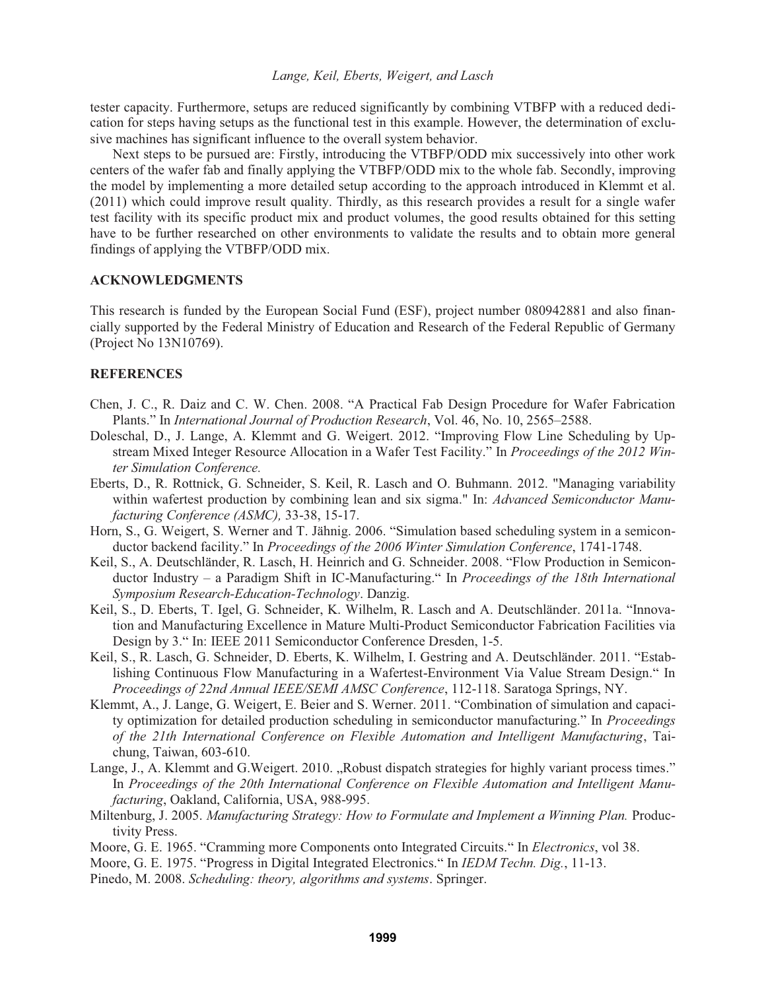tester capacity. Furthermore, setups are reduced significantly by combining VTBFP with a reduced dedication for steps having setups as the functional test in this example. However, the determination of exclusive machines has significant influence to the overall system behavior.

Next steps to be pursued are: Firstly, introducing the VTBFP/ODD mix successively into other work centers of the wafer fab and finally applying the VTBFP/ODD mix to the whole fab. Secondly, improving the model by implementing a more detailed setup according to the approach introduced in Klemmt et al. (2011) which could improve result quality. Thirdly, as this research provides a result for a single wafer test facility with its specific product mix and product volumes, the good results obtained for this setting have to be further researched on other environments to validate the results and to obtain more general findings of applying the VTBFP/ODD mix.

#### **ACKNOWLEDGMENTS**

This research is funded by the European Social Fund (ESF), project number 080942881 and also financially supported by the Federal Ministry of Education and Research of the Federal Republic of Germany (Project No 13N10769).

### **REFERENCES**

- Chen, J. C., R. Daiz and C. W. Chen. 2008. "A Practical Fab Design Procedure for Wafer Fabrication Plants." In *International Journal of Production Research*, Vol. 46, No. 10, 2565–2588.
- Doleschal, D., J. Lange, A. Klemmt and G. Weigert. 2012. "Improving Flow Line Scheduling by Upstream Mixed Integer Resource Allocation in a Wafer Test Facility." In *Proceedings of the 2012 Winter Simulation Conference.*
- Eberts, D., R. Rottnick, G. Schneider, S. Keil, R. Lasch and O. Buhmann. 2012. "Managing variability within wafertest production by combining lean and six sigma." In: *Advanced Semiconductor Manufacturing Conference (ASMC),* 33-38, 15-17.
- Horn, S., G. Weigert, S. Werner and T. Jähnig. 2006. "Simulation based scheduling system in a semiconductor backend facility." In *Proceedings of the 2006 Winter Simulation Conference*, 1741-1748.
- Keil, S., A. Deutschländer, R. Lasch, H. Heinrich and G. Schneider. 2008. "Flow Production in Semiconductor Industry – a Paradigm Shift in IC-Manufacturing." In *Proceedings of the 18th International Symposium Research-Education-Technology*. Danzig.
- Keil, S., D. Eberts, T. Igel, G. Schneider, K. Wilhelm, R. Lasch and A. Deutschländer. 2011a. "Innovation and Manufacturing Excellence in Mature Multi-Product Semiconductor Fabrication Facilities via Design by 3." In: IEEE 2011 Semiconductor Conference Dresden, 1-5.
- Keil, S., R. Lasch, G. Schneider, D. Eberts, K. Wilhelm, I. Gestring and A. Deutschländer. 2011. "Establishing Continuous Flow Manufacturing in a Wafertest-Environment Via Value Stream Design." In *Proceedings of 22nd Annual IEEE/SEMI AMSC Conference*, 112-118. Saratoga Springs, NY.
- Klemmt, A., J. Lange, G. Weigert, E. Beier and S. Werner. 2011. "Combination of simulation and capacity optimization for detailed production scheduling in semiconductor manufacturing." In *Proceedings of the 21th International Conference on Flexible Automation and Intelligent Manufacturing*, Taichung, Taiwan, 603-610.
- Lange, J., A. Klemmt and G.Weigert. 2010. "Robust dispatch strategies for highly variant process times." In *Proceedings of the 20th International Conference on Flexible Automation and Intelligent Manufacturing*, Oakland, California, USA, 988-995.
- Miltenburg, J. 2005. *Manufacturing Strategy: How to Formulate and Implement a Winning Plan.* Productivity Press.
- Moore, G. E. 1965. "Cramming more Components onto Integrated Circuits." In *Electronics*, vol 38.
- Moore, G. E. 1975. "Progress in Digital Integrated Electronics." In *IEDM Techn. Dig.*, 11-13.
- Pinedo, M. 2008. *Scheduling: theory, algorithms and systems*. Springer.